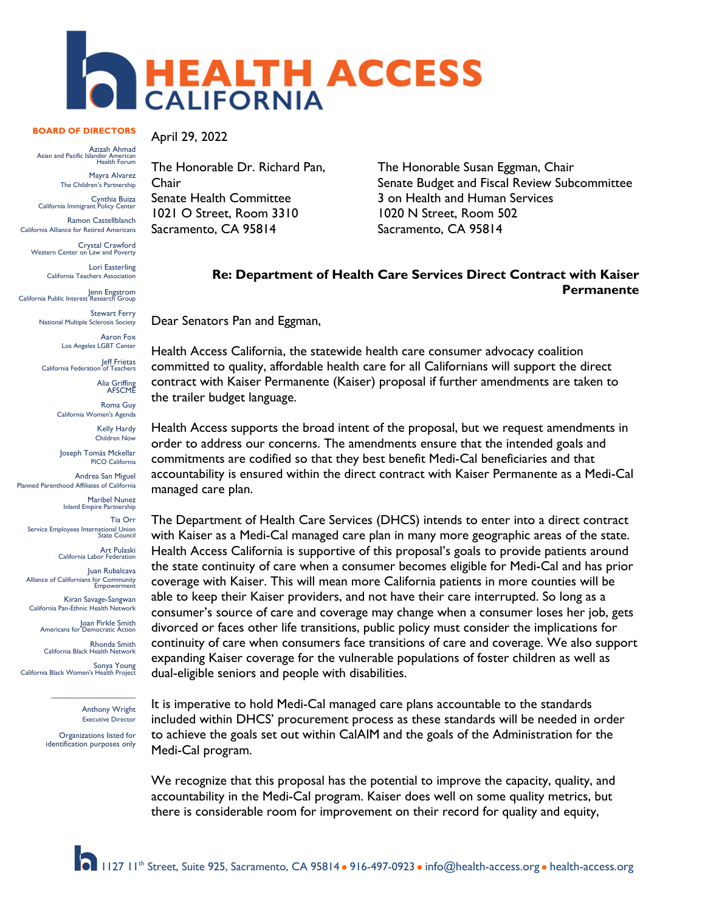

## **BOARD OF DIRECTORS**

Azizah Ahmad<br>Asian and Pacific Islander American<br>Health Forum

Mayra Alvarez The Children's Partnership

Cynthia Buiza California Immigrant Policy Center

Ramon Castellblanch California Alliance for Retired Americans

Crystal Crawford Western Center on Law and Poverty

Lori Easterling California Teachers Association

Jenn Engstrom California Public Interest Research Group

Stewart Ferry National Multiple Sclerosis Society Aaron Fox

Los Angeles LGBT Center

Jeff Frietas California Federation of Teachers

Alia Griffing AFSCME

Roma Guy California Women's Agenda

> Kelly Hardy Children Now

Joseph Tomás Mckellar PICO California

Andrea San Miguel Planned Parenthood Affiliates of California

Maribel Nunez Inland Empire Partnership

Tia Orr Service Employees International Union State Council

Art Pulaski California Labor Federation

Juan Rubalcava Alliance of Californians for Community Empowerment

Kiran Savage-Sangwan California Pan-Ethnic Health Network

Joan Pirkle Smith<br>Americans for Democratic Action

Rhonda Smith California Black Health Network

Sonya Young California Black Women's Health Project

Anthony Wright Executive Director

Organizations listed for identification purposes only

 $\mathcal{L}=\mathcal{L}$  , we have the set of the set of the set of the set of the set of the set of the set of the set of the set of the set of the set of the set of the set of the set of the set of the set of the set of the set o

April 29, 2022

The Honorable Dr. Richard Pan, Chair Senate Health Committee 1021 O Street, Room 3310 Sacramento, CA 95814

The Honorable Susan Eggman, Chair Senate Budget and Fiscal Review Subcommittee 3 on Health and Human Services 1020 N Street, Room 502 Sacramento, CA 95814

## **Re: Department of Health Care Services Direct Contract with Kaiser Permanente**

Dear Senators Pan and Eggman,

Health Access California, the statewide health care consumer advocacy coalition committed to quality, affordable health care for all Californians will support the direct contract with Kaiser Permanente (Kaiser) proposal if further amendments are taken to the trailer budget language.

Health Access supports the broad intent of the proposal, but we request amendments in order to address our concerns. The amendments ensure that the intended goals and commitments are codified so that they best benefit Medi-Cal beneficiaries and that accountability is ensured within the direct contract with Kaiser Permanente as a Medi-Cal managed care plan.

The Department of Health Care Services (DHCS) intends to enter into a direct contract with Kaiser as a Medi-Cal managed care plan in many more geographic areas of the state. Health Access California is supportive of this proposal's goals to provide patients around the state continuity of care when a consumer becomes eligible for Medi-Cal and has prior coverage with Kaiser. This will mean more California patients in more counties will be able to keep their Kaiser providers, and not have their care interrupted. So long as a consumer's source of care and coverage may change when a consumer loses her job, gets divorced or faces other life transitions, public policy must consider the implications for continuity of care when consumers face transitions of care and coverage. We also support expanding Kaiser coverage for the vulnerable populations of foster children as well as dual-eligible seniors and people with disabilities.

It is imperative to hold Medi-Cal managed care plans accountable to the standards included within DHCS' procurement process as these standards will be needed in order to achieve the goals set out within CalAIM and the goals of the Administration for the Medi-Cal program.

We recognize that this proposal has the potential to improve the capacity, quality, and accountability in the Medi-Cal program. Kaiser does well on some quality metrics, but there is considerable room for improvement on their record for quality and equity,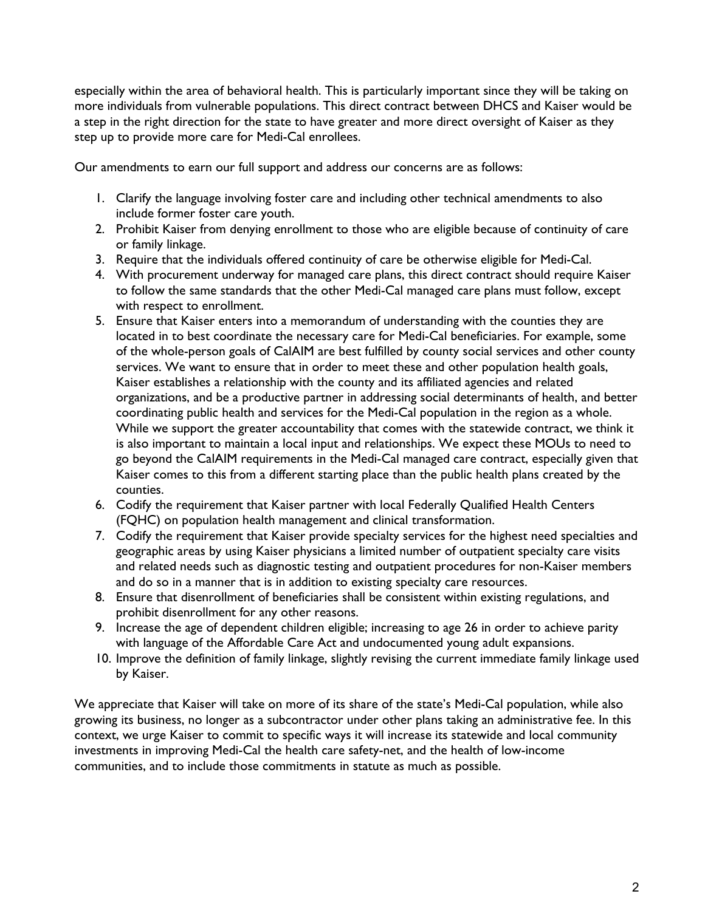especially within the area of behavioral health. This is particularly important since they will be taking on more individuals from vulnerable populations. This direct contract between DHCS and Kaiser would be a step in the right direction for the state to have greater and more direct oversight of Kaiser as they step up to provide more care for Medi-Cal enrollees.

Our amendments to earn our full support and address our concerns are as follows:

- 1. Clarify the language involving foster care and including other technical amendments to also include former foster care youth.
- 2. Prohibit Kaiser from denying enrollment to those who are eligible because of continuity of care or family linkage.
- 3. Require that the individuals offered continuity of care be otherwise eligible for Medi-Cal.
- 4. With procurement underway for managed care plans, this direct contract should require Kaiser to follow the same standards that the other Medi-Cal managed care plans must follow, except with respect to enrollment.
- 5. Ensure that Kaiser enters into a memorandum of understanding with the counties they are located in to best coordinate the necessary care for Medi-Cal beneficiaries. For example, some of the whole-person goals of CalAIM are best fulfilled by county social services and other county services. We want to ensure that in order to meet these and other population health goals, Kaiser establishes a relationship with the county and its affiliated agencies and related organizations, and be a productive partner in addressing social determinants of health, and better coordinating public health and services for the Medi-Cal population in the region as a whole. While we support the greater accountability that comes with the statewide contract, we think it is also important to maintain a local input and relationships. We expect these MOUs to need to go beyond the CalAIM requirements in the Medi-Cal managed care contract, especially given that Kaiser comes to this from a different starting place than the public health plans created by the counties.
- 6. Codify the requirement that Kaiser partner with local Federally Qualified Health Centers (FQHC) on population health management and clinical transformation.
- 7. Codify the requirement that Kaiser provide specialty services for the highest need specialties and geographic areas by using Kaiser physicians a limited number of outpatient specialty care visits and related needs such as diagnostic testing and outpatient procedures for non-Kaiser members and do so in a manner that is in addition to existing specialty care resources.
- 8. Ensure that disenrollment of beneficiaries shall be consistent within existing regulations, and prohibit disenrollment for any other reasons.
- 9. Increase the age of dependent children eligible; increasing to age 26 in order to achieve parity with language of the Affordable Care Act and undocumented young adult expansions.
- 10. Improve the definition of family linkage, slightly revising the current immediate family linkage used by Kaiser.

We appreciate that Kaiser will take on more of its share of the state's Medi-Cal population, while also growing its business, no longer as a subcontractor under other plans taking an administrative fee. In this context, we urge Kaiser to commit to specific ways it will increase its statewide and local community investments in improving Medi-Cal the health care safety-net, and the health of low-income communities, and to include those commitments in statute as much as possible.